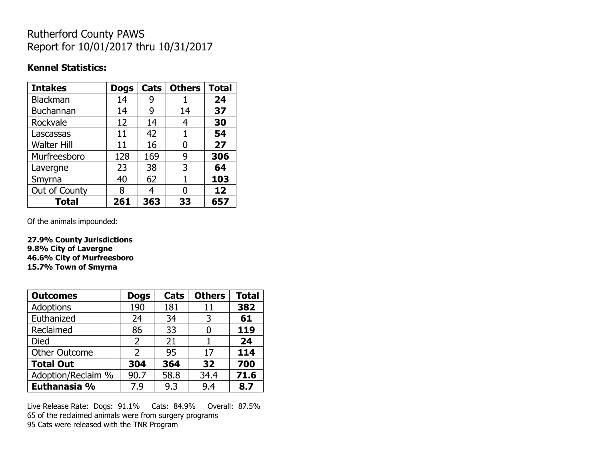## Rutherford County PAWS Report for 10/01/2017 thru 10/31/2017

#### **Kennel Statistics:**

| <b>Intakes</b>     | <b>Dogs</b> | Cats | <b>Others</b> | <b>Total</b> |
|--------------------|-------------|------|---------------|--------------|
| Blackman           | 14          | 9    |               | 24           |
| <b>Buchannan</b>   | 14          | 9    | 14            | 37           |
| Rockvale           | 12          | 14   | 4             | 30           |
| Lascassas          | 11          | 42   | 1             | 54           |
| <b>Walter Hill</b> | 11          | 16   | 0             | 27           |
| Murfreesboro       | 128         | 169  | 9             | 306          |
| Lavergne           | 23          | 38   | 3             | 64           |
| Smyrna             | 40          | 62   | 1             | 103          |
| Out of County      | 8           | 4    | O             | 12           |
| <b>Total</b>       | 261         | 363  | 33            | 657          |

Of the animals impounded:

**27.9% County Jurisdictions 9.8% City of Lavergne 46.6% City of Murfreesboro 15.7% Town of Smyrna**

| <b>Outcomes</b>      | <b>Dogs</b> | Cats | <b>Others</b> | <b>Total</b> |
|----------------------|-------------|------|---------------|--------------|
| Adoptions            | 190         | 181  | 11            | 382          |
| Euthanized           | 24          | 34   | 3             | 61           |
| Reclaimed            | 86          | 33   | O             | 119          |
| <b>Died</b>          | 2           | 21   |               | 24           |
| <b>Other Outcome</b> | 2           | 95   | 17            | 114          |
| <b>Total Out</b>     | 304         | 364  | 32            | 700          |
| Adoption/Reclaim %   | 90.7        | 58.8 | 34.4          | 71.6         |
| Euthanasia %         | 7.9         | 9.3  | 9.4           | 8.7          |

Live Release Rate: Dogs: 91.1% Cats: 84.9% Overall: 87.5% 65 of the reclaimed animals were from surgery programs 95 Cats were released with the TNR Program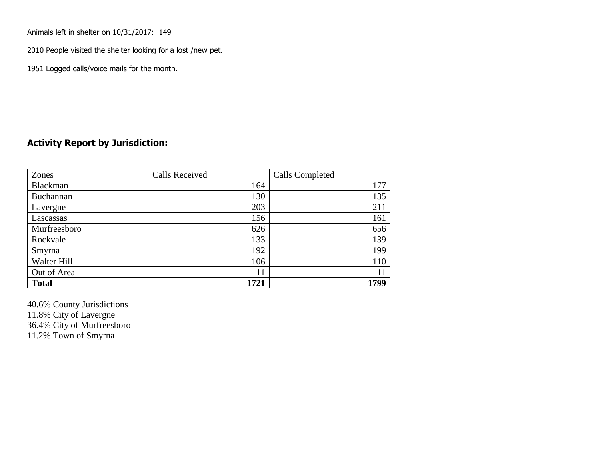Animals left in shelter on 10/31/2017: 149

2010 People visited the shelter looking for a lost /new pet.

1951 Logged calls/voice mails for the month.

### **Activity Report by Jurisdiction:**

| Zones           | <b>Calls Received</b> | Calls Completed |
|-----------------|-----------------------|-----------------|
| <b>Blackman</b> | 164                   | 177             |
| Buchannan       | 130                   | 135             |
| Lavergne        | 203                   | 211             |
| Lascassas       | 156                   | 161             |
| Murfreesboro    | 626                   | 656             |
| Rockvale        | 133                   | 139             |
| Smyrna          | 192                   | 199             |
| Walter Hill     | 106                   | 110             |
| Out of Area     | 11                    | 11              |
| <b>Total</b>    | 1721                  | 1799            |

40.6% County Jurisdictions 11.8% City of Lavergne 36.4% City of Murfreesboro 11.2% Town of Smyrna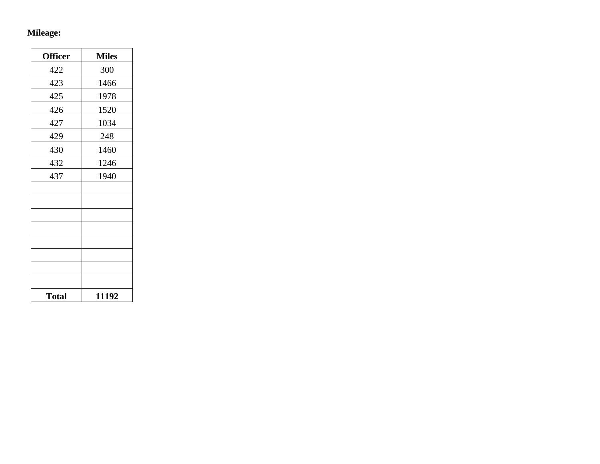## **Mileage:**

| <b>Officer</b> | <b>Miles</b> |
|----------------|--------------|
| 422            | 300          |
| 423            | 1466         |
| 425            | 1978         |
| 426            | 1520         |
| 427            | 1034         |
| 429            | 248          |
| 430            | 1460         |
| 432            | 1246         |
| 437            | 1940         |
|                |              |
|                |              |
|                |              |
|                |              |
|                |              |
|                |              |
|                |              |
|                |              |
| <b>Total</b>   | 11192        |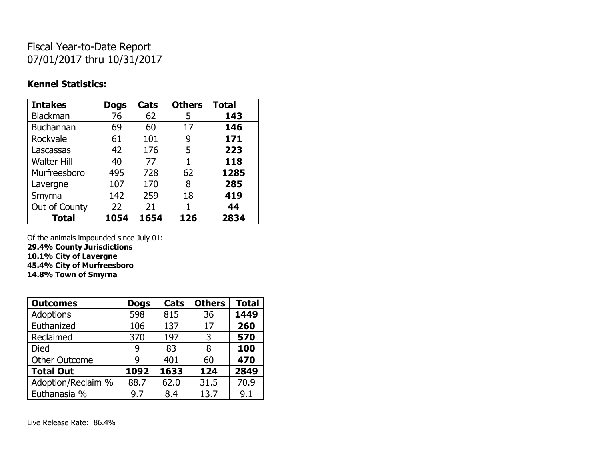# Fiscal Year-to-Date Report 07/01/2017 thru 10/31/2017

### **Kennel Statistics:**

| <b>Intakes</b>     | <b>Dogs</b> | Cats | <b>Others</b> | <b>Total</b> |
|--------------------|-------------|------|---------------|--------------|
| Blackman           | 76          | 62   | 5             | 143          |
| Buchannan          | 69          | 60   | 17            | 146          |
| Rockvale           | 61          | 101  | 9             | 171          |
| Lascassas          | 42          | 176  | 5             | 223          |
| <b>Walter Hill</b> | 40          | 77   | 1             | 118          |
| Murfreesboro       | 495         | 728  | 62            | 1285         |
| Lavergne           | 107         | 170  | 8             | 285          |
| Smyrna             | 142         | 259  | 18            | 419          |
| Out of County      | 22          | 21   |               | 44           |
| <b>Total</b>       | 1054        | 1654 | 126           | 2834         |

Of the animals impounded since July 01:

**29.4% County Jurisdictions 10.1% City of Lavergne**

**45.4% City of Murfreesboro**

**14.8% Town of Smyrna**

| <b>Outcomes</b>      | <b>Dogs</b> | Cats | <b>Others</b> | <b>Total</b> |
|----------------------|-------------|------|---------------|--------------|
| <b>Adoptions</b>     | 598         | 815  | 36            | 1449         |
| Euthanized           | 106         | 137  | 17            | 260          |
| Reclaimed            | 370         | 197  | 3             | 570          |
| <b>Died</b>          | 9           | 83   | 8             | 100          |
| <b>Other Outcome</b> | q           | 401  | 60            | 470          |
| <b>Total Out</b>     | 1092        | 1633 | 124           | 2849         |
| Adoption/Reclaim %   | 88.7        | 62.0 | 31.5          | 70.9         |
| Euthanasia %         | 9.7         | 8.4  | 13.7          | 9.1          |

Live Release Rate: 86.4%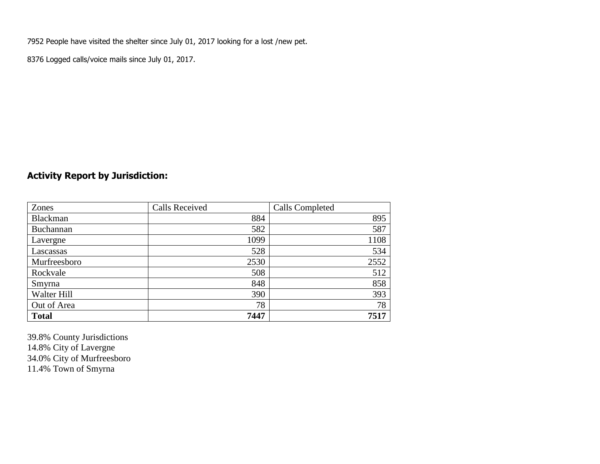7952 People have visited the shelter since July 01, 2017 looking for a lost /new pet.

8376 Logged calls/voice mails since July 01, 2017.

## **Activity Report by Jurisdiction:**

| Zones        | <b>Calls Received</b> | Calls Completed |
|--------------|-----------------------|-----------------|
| Blackman     | 884                   | 895             |
| Buchannan    | 582                   | 587             |
| Lavergne     | 1099                  | 1108            |
| Lascassas    | 528                   | 534             |
| Murfreesboro | 2530                  | 2552            |
| Rockvale     | 508                   | 512             |
| Smyrna       | 848                   | 858             |
| Walter Hill  | 390                   | 393             |
| Out of Area  | 78                    | 78              |
| <b>Total</b> | 7447                  | 7517            |

39.8% County Jurisdictions 14.8% City of Lavergne 34.0% City of Murfreesboro 11.4% Town of Smyrna